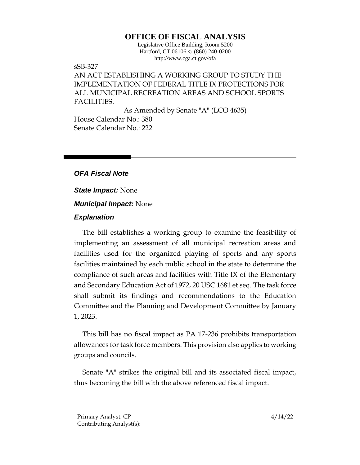# **OFFICE OF FISCAL ANALYSIS**

Legislative Office Building, Room 5200 Hartford, CT 06106  $\Diamond$  (860) 240-0200 http://www.cga.ct.gov/ofa

## sSB-327 AN ACT ESTABLISHING A WORKING GROUP TO STUDY THE IMPLEMENTATION OF FEDERAL TITLE IX PROTECTIONS FOR ALL MUNICIPAL RECREATION AREAS AND SCHOOL SPORTS FACILITIES.

As Amended by Senate "A" (LCO 4635) House Calendar No.: 380 Senate Calendar No.: 222

### *OFA Fiscal Note*

*State Impact:* None

## *Municipal Impact:* None

#### *Explanation*

The bill establishes a working group to examine the feasibility of implementing an assessment of all municipal recreation areas and facilities used for the organized playing of sports and any sports facilities maintained by each public school in the state to determine the compliance of such areas and facilities with Title IX of the Elementary and Secondary Education Act of 1972, 20 USC 1681 et seq. The task force shall submit its findings and recommendations to the Education Committee and the Planning and Development Committee by January 1, 2023.

This bill has no fiscal impact as PA 17-236 prohibits transportation allowances for task force members. This provision also applies to working groups and councils.

Senate "A" strikes the original bill and its associated fiscal impact, thus becoming the bill with the above referenced fiscal impact.